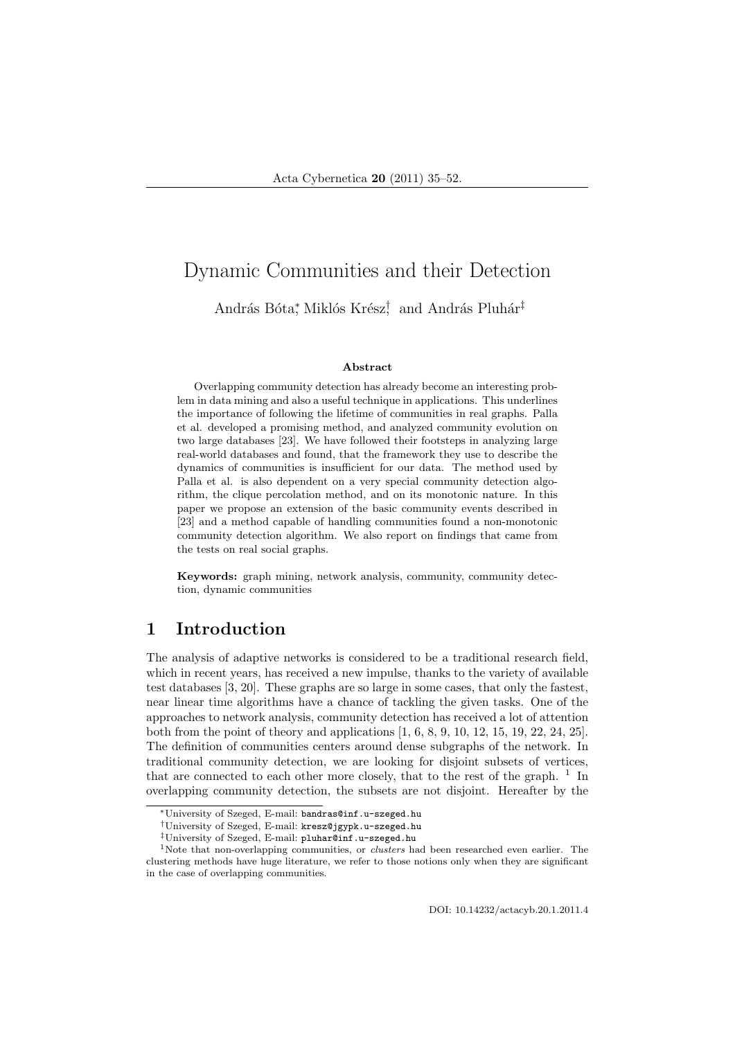# Dynamic Communities and their Detection

András Bóta\*, Miklós Krész<sup>†</sup> and András Pluhár<sup>‡</sup>

#### Abstract

Overlapping community detection has already become an interesting problem in data mining and also a useful technique in applications. This underlines the importance of following the lifetime of communities in real graphs. Palla et al. developed a promising method, and analyzed community evolution on two large databases [23]. We have followed their footsteps in analyzing large real-world databases and found, that the framework they use to describe the dynamics of communities is insufficient for our data. The method used by Palla et al. is also dependent on a very special community detection algorithm, the clique percolation method, and on its monotonic nature. In this paper we propose an extension of the basic community events described in [23] and a method capable of handling communities found a non-monotonic community detection algorithm. We also report on findings that came from the tests on real social graphs.

Keywords: graph mining, network analysis, community, community detection, dynamic communities

# 1 Introduction

The analysis of adaptive networks is considered to be a traditional research field, which in recent years, has received a new impulse, thanks to the variety of available test databases [3, 20]. These graphs are so large in some cases, that only the fastest, near linear time algorithms have a chance of tackling the given tasks. One of the approaches to network analysis, community detection has received a lot of attention both from the point of theory and applications [1, 6, 8, 9, 10, 12, 15, 19, 22, 24, 25]. The definition of communities centers around dense subgraphs of the network. In traditional community detection, we are looking for disjoint subsets of vertices, that are connected to each other more closely, that to the rest of the graph.  $<sup>1</sup>$  In</sup> overlapping community detection, the subsets are not disjoint. Hereafter by the

DOI: 10.14232/actacyb.20.1.2011.4

<sup>∗</sup>University of Szeged, E-mail: bandras@inf.u-szeged.hu

<sup>†</sup>University of Szeged, E-mail: kresz@jgypk.u-szeged.hu

<sup>‡</sup>University of Szeged, E-mail: pluhar@inf.u-szeged.hu

<sup>&</sup>lt;sup>1</sup>Note that non-overlapping communities, or *clusters* had been researched even earlier. The clustering methods have huge literature, we refer to those notions only when they are significant in the case of overlapping communities.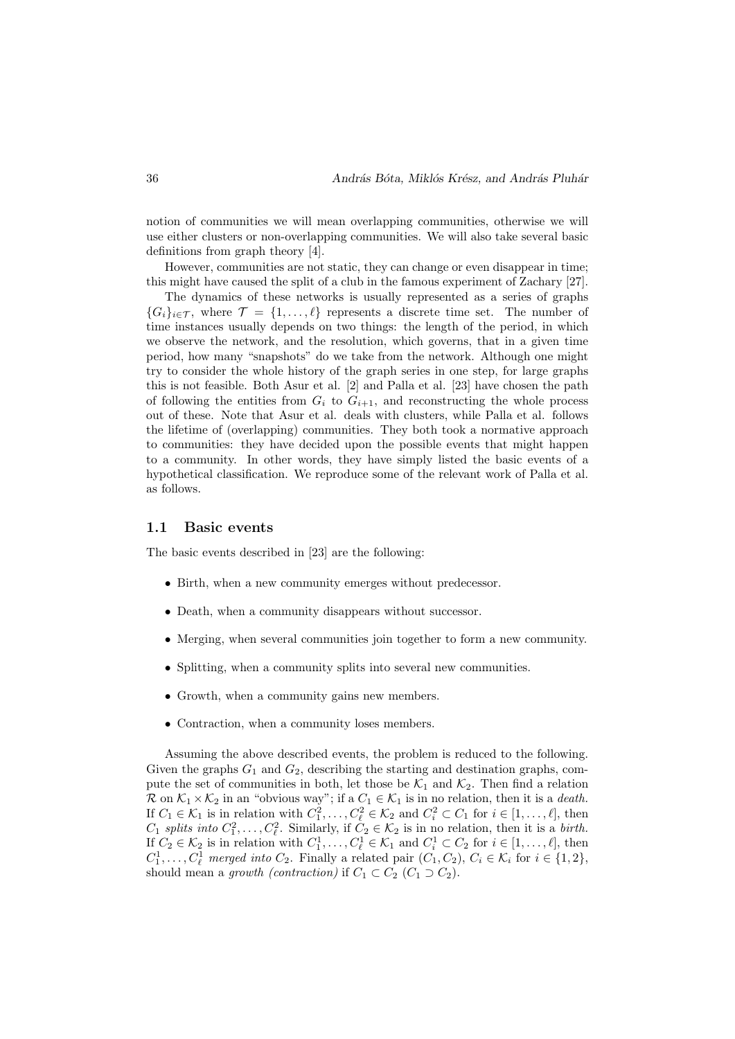notion of communities we will mean overlapping communities, otherwise we will use either clusters or non-overlapping communities. We will also take several basic definitions from graph theory [4].

However, communities are not static, they can change or even disappear in time; this might have caused the split of a club in the famous experiment of Zachary [27].

The dynamics of these networks is usually represented as a series of graphs  ${G_i}_{i \in \mathcal{T}}$ , where  $\mathcal{T} = \{1, \ldots, \ell\}$  represents a discrete time set. The number of time instances usually depends on two things: the length of the period, in which we observe the network, and the resolution, which governs, that in a given time period, how many "snapshots" do we take from the network. Although one might try to consider the whole history of the graph series in one step, for large graphs this is not feasible. Both Asur et al. [2] and Palla et al. [23] have chosen the path of following the entities from  $G_i$  to  $G_{i+1}$ , and reconstructing the whole process out of these. Note that Asur et al. deals with clusters, while Palla et al. follows the lifetime of (overlapping) communities. They both took a normative approach to communities: they have decided upon the possible events that might happen to a community. In other words, they have simply listed the basic events of a hypothetical classification. We reproduce some of the relevant work of Palla et al. as follows.

#### 1.1 Basic events

The basic events described in [23] are the following:

- Birth, when a new community emerges without predecessor.
- Death, when a community disappears without successor.
- Merging, when several communities join together to form a new community.
- Splitting, when a community splits into several new communities.
- Growth, when a community gains new members.
- Contraction, when a community loses members.

Assuming the above described events, the problem is reduced to the following. Given the graphs  $G_1$  and  $G_2$ , describing the starting and destination graphs, compute the set of communities in both, let those be  $\mathcal{K}_1$  and  $\mathcal{K}_2$ . Then find a relation R on  $\mathcal{K}_1 \times \mathcal{K}_2$  in an "obvious way"; if a  $C_1 \in \mathcal{K}_1$  is in no relation, then it is a *death*. If  $C_1 \in \mathcal{K}_1$  is in relation with  $C_1^2, \ldots, C_\ell^2 \in \mathcal{K}_2$  and  $C_i^2 \subset C_1$  for  $i \in [1, \ldots, \ell]$ , then  $C_1$  splits into  $C_1^2, \ldots, C_\ell^2$ . Similarly, if  $C_2 \in \mathcal{K}_2$  is in no relation, then it is a birth. If  $C_2 \in \mathcal{K}_2$  is in relation with  $C_1^1, \ldots, C_\ell^1 \in \mathcal{K}_1$  and  $C_i^1 \subset C_2$  for  $i \in [1, \ldots, \ell]$ , then  $C_1^1, \ldots, C_\ell^1$  merged into  $C_2$ . Finally a related pair  $(C_1, C_2)$ ,  $C_i \in \mathcal{K}_i$  for  $i \in \{1, 2\}$ , should mean a growth (contraction) if  $C_1 \subset C_2$  ( $C_1 \supset C_2$ ).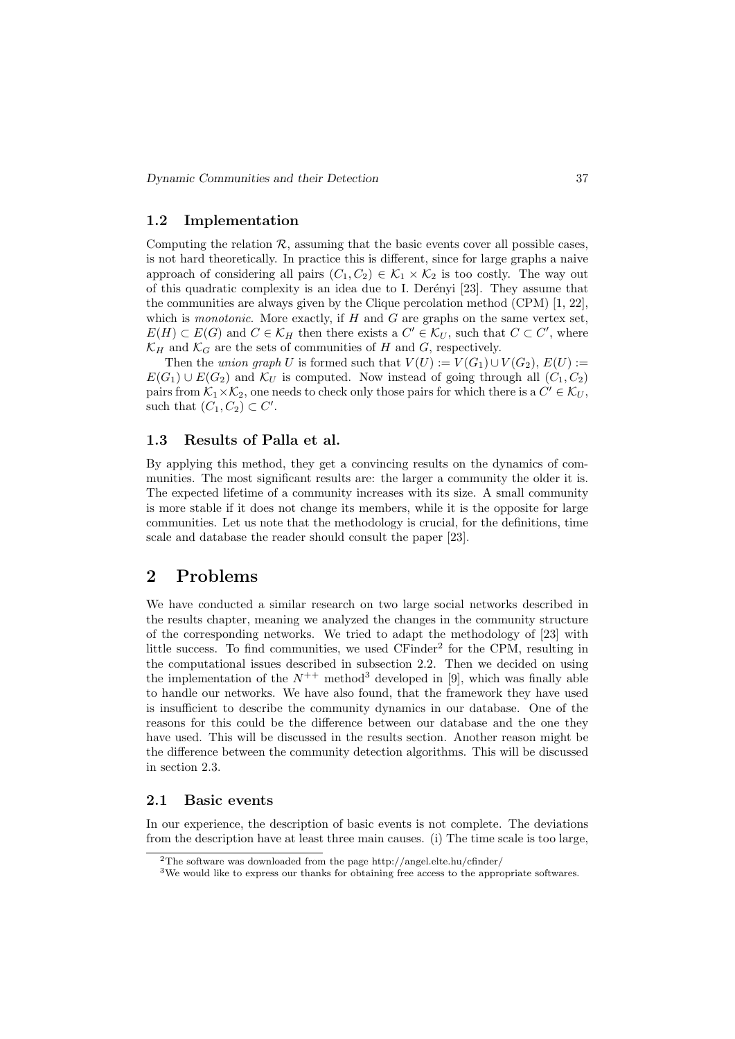### 1.2 Implementation

Computing the relation  $\mathcal R$ , assuming that the basic events cover all possible cases, is not hard theoretically. In practice this is different, since for large graphs a naive approach of considering all pairs  $(C_1, C_2) \in \mathcal{K}_1 \times \mathcal{K}_2$  is too costly. The way out of this quadratic complexity is an idea due to I. Derényi [23]. They assume that the communities are always given by the Clique percolation method (CPM) [1, 22], which is *monotonic*. More exactly, if  $H$  and  $G$  are graphs on the same vertex set,  $E(H) \subset E(G)$  and  $C \in \mathcal{K}_H$  then there exists a  $C' \in \mathcal{K}_U$ , such that  $C \subset C'$ , where  $\mathcal{K}_H$  and  $\mathcal{K}_G$  are the sets of communities of H and G, respectively.

Then the union graph U is formed such that  $V(U) := V(G_1) \cup V(G_2)$ ,  $E(U) :=$  $E(G_1) \cup E(G_2)$  and  $\mathcal{K}_U$  is computed. Now instead of going through all  $(C_1, C_2)$ pairs from  $\mathcal{K}_1 \times \mathcal{K}_2$ , one needs to check only those pairs for which there is a  $C' \in \mathcal{K}_U$ , such that  $(C_1, C_2) \subset C'$ .

### 1.3 Results of Palla et al.

By applying this method, they get a convincing results on the dynamics of communities. The most significant results are: the larger a community the older it is. The expected lifetime of a community increases with its size. A small community is more stable if it does not change its members, while it is the opposite for large communities. Let us note that the methodology is crucial, for the definitions, time scale and database the reader should consult the paper [23].

# 2 Problems

We have conducted a similar research on two large social networks described in the results chapter, meaning we analyzed the changes in the community structure of the corresponding networks. We tried to adapt the methodology of [23] with little success. To find communities, we used CFinder<sup>2</sup> for the CPM, resulting in the computational issues described in subsection 2.2. Then we decided on using the implementation of the  $N^{++}$  method<sup>3</sup> developed in [9], which was finally able to handle our networks. We have also found, that the framework they have used is insufficient to describe the community dynamics in our database. One of the reasons for this could be the difference between our database and the one they have used. This will be discussed in the results section. Another reason might be the difference between the community detection algorithms. This will be discussed in section 2.3.

#### 2.1 Basic events

In our experience, the description of basic events is not complete. The deviations from the description have at least three main causes. (i) The time scale is too large,

<sup>2</sup>The software was downloaded from the page http://angel.elte.hu/cfinder/

<sup>3</sup>We would like to express our thanks for obtaining free access to the appropriate softwares.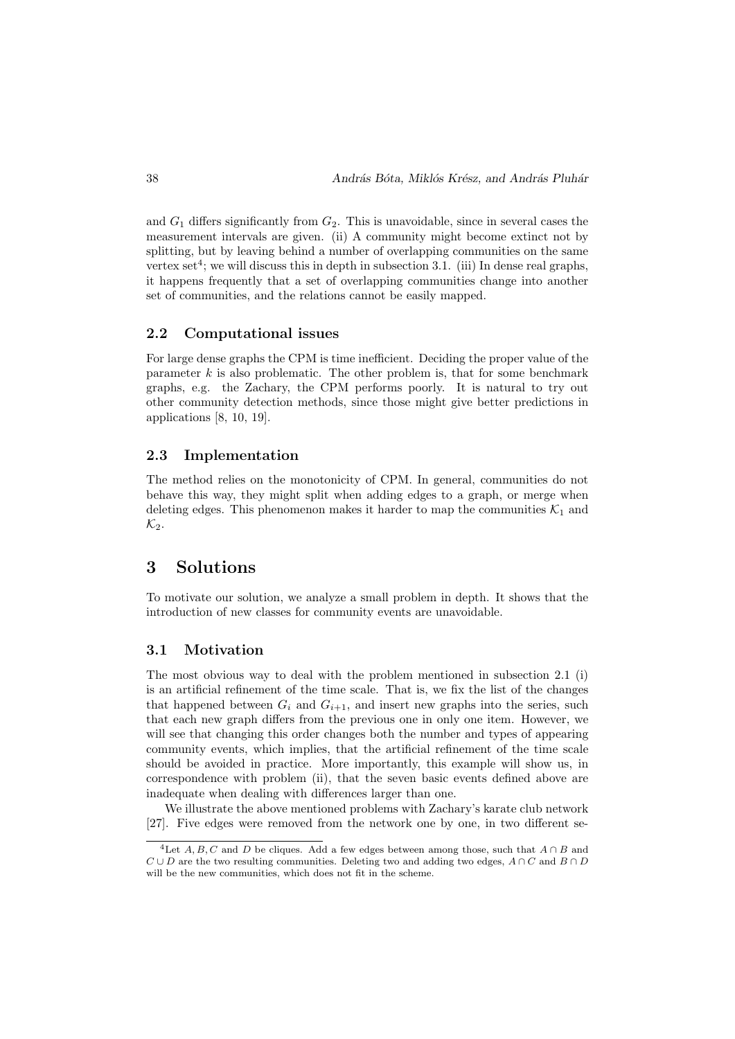and  $G_1$  differs significantly from  $G_2$ . This is unavoidable, since in several cases the measurement intervals are given. (ii) A community might become extinct not by splitting, but by leaving behind a number of overlapping communities on the same vertex set<sup>4</sup>; we will discuss this in depth in subsection 3.1. (iii) In dense real graphs, it happens frequently that a set of overlapping communities change into another set of communities, and the relations cannot be easily mapped.

#### 2.2 Computational issues

For large dense graphs the CPM is time inefficient. Deciding the proper value of the parameter  $k$  is also problematic. The other problem is, that for some benchmark graphs, e.g. the Zachary, the CPM performs poorly. It is natural to try out other community detection methods, since those might give better predictions in applications [8, 10, 19].

#### 2.3 Implementation

The method relies on the monotonicity of CPM. In general, communities do not behave this way, they might split when adding edges to a graph, or merge when deleting edges. This phenomenon makes it harder to map the communities  $K_1$  and  $\mathcal{K}_2$ .

### 3 Solutions

To motivate our solution, we analyze a small problem in depth. It shows that the introduction of new classes for community events are unavoidable.

#### 3.1 Motivation

The most obvious way to deal with the problem mentioned in subsection 2.1 (i) is an artificial refinement of the time scale. That is, we fix the list of the changes that happened between  $G_i$  and  $G_{i+1}$ , and insert new graphs into the series, such that each new graph differs from the previous one in only one item. However, we will see that changing this order changes both the number and types of appearing community events, which implies, that the artificial refinement of the time scale should be avoided in practice. More importantly, this example will show us, in correspondence with problem (ii), that the seven basic events defined above are inadequate when dealing with differences larger than one.

We illustrate the above mentioned problems with Zachary's karate club network [27]. Five edges were removed from the network one by one, in two different se-

<sup>&</sup>lt;sup>4</sup>Let A, B, C and D be cliques. Add a few edges between among those, such that  $A \cap B$  and  $C \cup D$  are the two resulting communities. Deleting two and adding two edges,  $A \cap C$  and  $B \cap D$ will be the new communities, which does not fit in the scheme.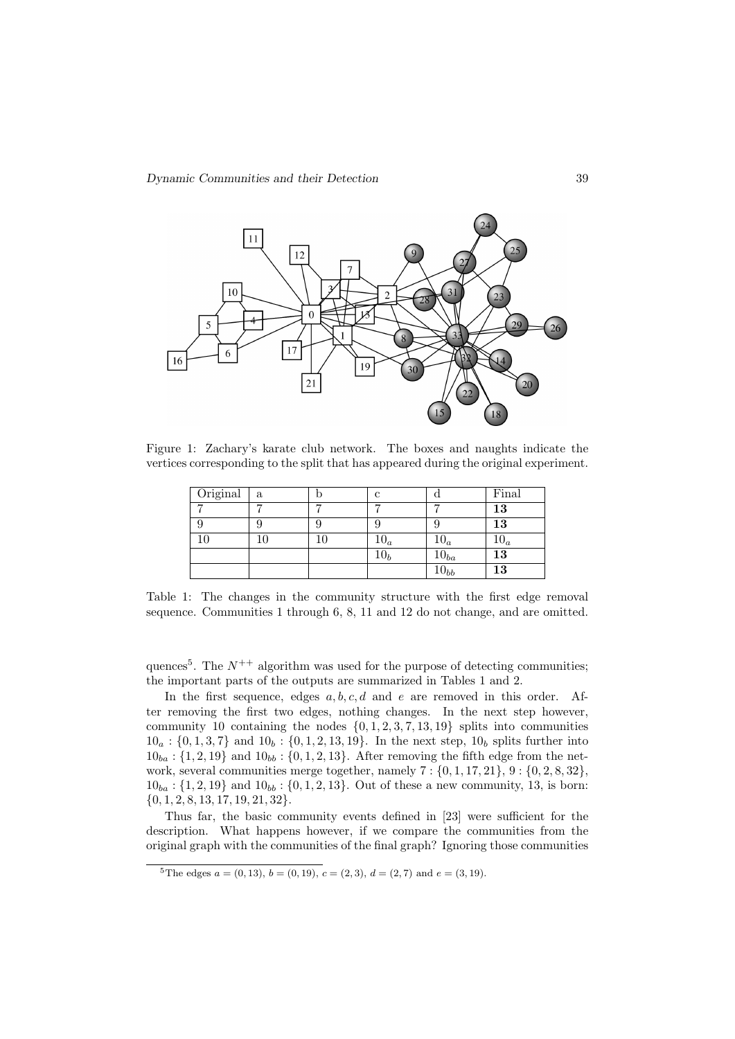

Figure 1: Zachary's karate club network. The boxes and naughts indicate the vertices corresponding to the split that has appeared during the original experiment.

| Original | a | с          |           | Final  |
|----------|---|------------|-----------|--------|
|          | − |            |           | 13     |
|          |   |            |           | 13     |
|          |   | $10_a\,$   | $10_a$    | $10_a$ |
|          |   | $10_{h}\,$ | $10_{ba}$ | 13     |
|          |   |            | $10_{bb}$ | 13     |

Table 1: The changes in the community structure with the first edge removal sequence. Communities 1 through 6, 8, 11 and 12 do not change, and are omitted.

quences<sup>5</sup>. The  $N^{++}$  algorithm was used for the purpose of detecting communities; the important parts of the outputs are summarized in Tables 1 and 2.

In the first sequence, edges  $a, b, c, d$  and  $e$  are removed in this order. After removing the first two edges, nothing changes. In the next step however, community 10 containing the nodes  $\{0, 1, 2, 3, 7, 13, 19\}$  splits into communities  $10_a : \{0, 1, 3, 7\}$  and  $10_b : \{0, 1, 2, 13, 19\}$ . In the next step,  $10_b$  splits further into  $10_{ba}$ : {1, 2, 19} and  $10_{bb}$ : {0, 1, 2, 13}. After removing the fifth edge from the network, several communities merge together, namely  $7: \{0, 1, 17, 21\}, 9: \{0, 2, 8, 32\}$ ,  $10_{ba}$ : {1, 2, 19} and  $10_{bb}$ : {0, 1, 2, 13}. Out of these a new community, 13, is born:  ${0, 1, 2, 8, 13, 17, 19, 21, 32}.$ 

Thus far, the basic community events defined in [23] were sufficient for the description. What happens however, if we compare the communities from the original graph with the communities of the final graph? Ignoring those communities

<sup>&</sup>lt;sup>5</sup>The edges  $a = (0, 13), b = (0, 19), c = (2, 3), d = (2, 7)$  and  $e = (3, 19)$ .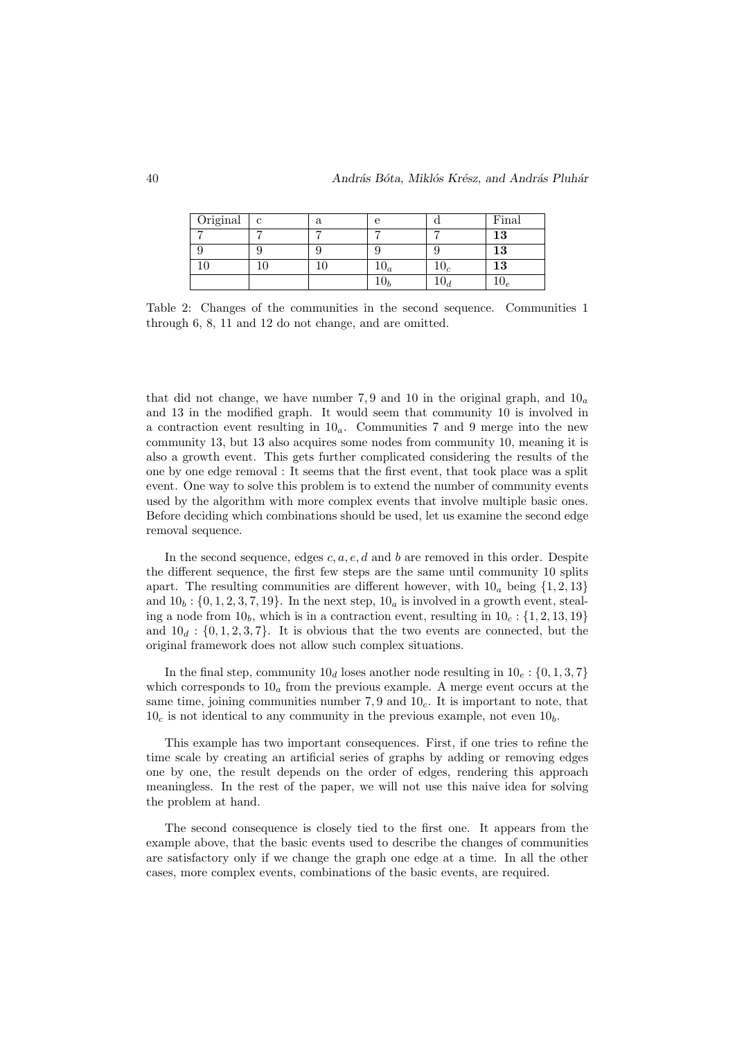| Original | $\mathbf{c}$ | а | е              |                       | Final  |
|----------|--------------|---|----------------|-----------------------|--------|
|          |              |   |                |                       | $13\,$ |
|          |              |   |                |                       | 13     |
|          |              |   | $\mathbf{v}_a$ | $\mathbf{1} \cup_{C}$ | 13     |
|          |              |   |                |                       | 10e    |

Table 2: Changes of the communities in the second sequence. Communities 1 through 6, 8, 11 and 12 do not change, and are omitted.

that did not change, we have number 7,9 and 10 in the original graph, and  $10_a$ and 13 in the modified graph. It would seem that community 10 is involved in a contraction event resulting in  $10<sub>a</sub>$ . Communities 7 and 9 merge into the new community 13, but 13 also acquires some nodes from community 10, meaning it is also a growth event. This gets further complicated considering the results of the one by one edge removal : It seems that the first event, that took place was a split event. One way to solve this problem is to extend the number of community events used by the algorithm with more complex events that involve multiple basic ones. Before deciding which combinations should be used, let us examine the second edge removal sequence.

In the second sequence, edges  $c, a, e, d$  and b are removed in this order. Despite the different sequence, the first few steps are the same until community 10 splits apart. The resulting communities are different however, with  $10<sub>a</sub>$  being  $\{1, 2, 13\}$ and  $10<sub>b</sub>$ : {0, 1, 2, 3, 7, 19}. In the next step,  $10<sub>a</sub>$  is involved in a growth event, stealing a node from  $10<sub>b</sub>$ , which is in a contraction event, resulting in  $10<sub>c</sub>$ ; {1, 2, 13, 19} and  $10_d$ :  $\{0, 1, 2, 3, 7\}$ . It is obvious that the two events are connected, but the original framework does not allow such complex situations.

In the final step, community  $10_d$  loses another node resulting in  $10_e$  :  $\{0, 1, 3, 7\}$ which corresponds to  $10<sub>a</sub>$  from the previous example. A merge event occurs at the same time, joining communities number  $7,9$  and  $10<sub>c</sub>$ . It is important to note, that  $10<sub>c</sub>$  is not identical to any community in the previous example, not even  $10<sub>b</sub>$ .

This example has two important consequences. First, if one tries to refine the time scale by creating an artificial series of graphs by adding or removing edges one by one, the result depends on the order of edges, rendering this approach meaningless. In the rest of the paper, we will not use this naive idea for solving the problem at hand.

The second consequence is closely tied to the first one. It appears from the example above, that the basic events used to describe the changes of communities are satisfactory only if we change the graph one edge at a time. In all the other cases, more complex events, combinations of the basic events, are required.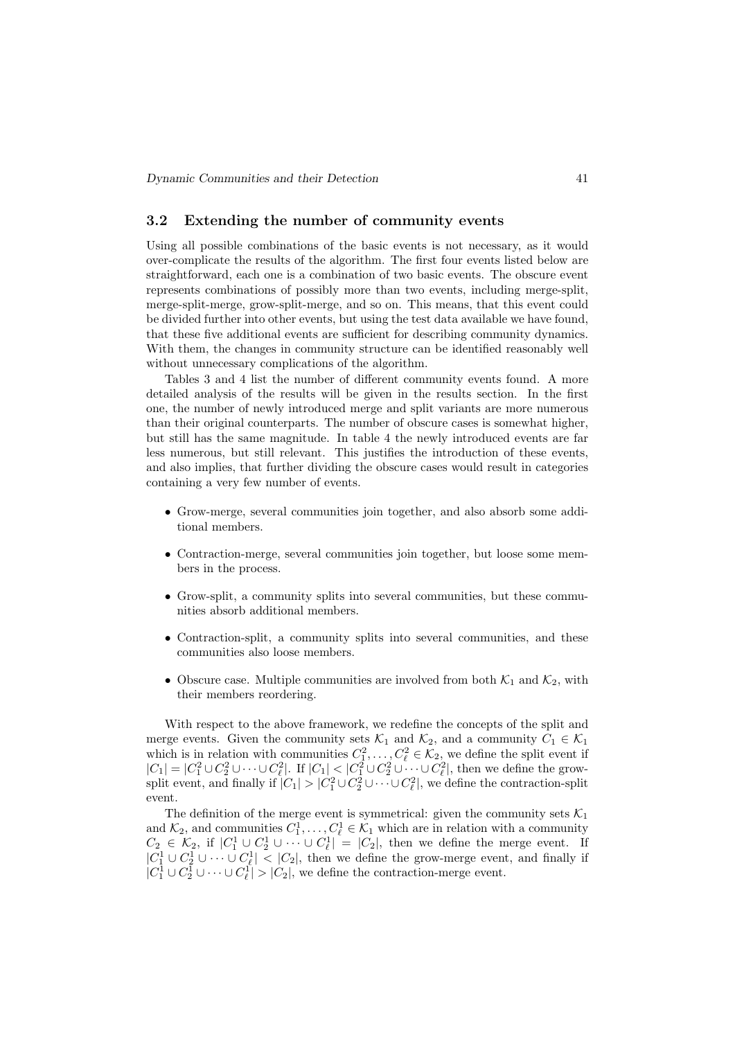### 3.2 Extending the number of community events

Using all possible combinations of the basic events is not necessary, as it would over-complicate the results of the algorithm. The first four events listed below are straightforward, each one is a combination of two basic events. The obscure event represents combinations of possibly more than two events, including merge-split, merge-split-merge, grow-split-merge, and so on. This means, that this event could be divided further into other events, but using the test data available we have found, that these five additional events are sufficient for describing community dynamics. With them, the changes in community structure can be identified reasonably well without unnecessary complications of the algorithm.

Tables 3 and 4 list the number of different community events found. A more detailed analysis of the results will be given in the results section. In the first one, the number of newly introduced merge and split variants are more numerous than their original counterparts. The number of obscure cases is somewhat higher, but still has the same magnitude. In table 4 the newly introduced events are far less numerous, but still relevant. This justifies the introduction of these events, and also implies, that further dividing the obscure cases would result in categories containing a very few number of events.

- Grow-merge, several communities join together, and also absorb some additional members.
- Contraction-merge, several communities join together, but loose some members in the process.
- Grow-split, a community splits into several communities, but these communities absorb additional members.
- Contraction-split, a community splits into several communities, and these communities also loose members.
- Obscure case. Multiple communities are involved from both  $\mathcal{K}_1$  and  $\mathcal{K}_2$ , with their members reordering.

With respect to the above framework, we redefine the concepts of the split and merge events. Given the community sets  $\mathcal{K}_1$  and  $\mathcal{K}_2$ , and a community  $C_1 \in \mathcal{K}_1$ which is in relation with communities  $C_1^2, \ldots, C_\ell^2 \in \mathcal{K}_2$ , we define the split event if  $|C_1| = |C_1^2 \cup C_2^2 \cup \cdots \cup C_\ell^2|$ . If  $|C_1| < |C_1^2 \cup C_2^2 \cup \cdots \cup C_\ell^2|$ , then we define the growsplit event, and finally if  $|C_1| > |C_1^2 \cup C_2^2 \cup \cdots \cup C_\ell^2|$ , we define the contraction-split event.

The definition of the merge event is symmetrical: given the community sets  $\mathcal{K}_1$ and  $\mathcal{K}_2$ , and communities  $C_1^1, \ldots, C_\ell^1 \in \mathcal{K}_1$  which are in relation with a community  $C_2 \in \mathcal{K}_2$ , if  $|C_1^1 \cup C_2^1 \cup \cdots \cup C_{\ell}^1| = |C_2|$ , then we define the merge event. If  $|C_1^1 \cup C_2^1 \cup \cdots \cup C_\ell^1|$  <  $|C_2|$ , then we define the grow-merge event, and finally if  $|C_1^1 \cup C_2^1 \cup \cdots \cup C_\ell^1| > |C_2|$ , we define the contraction-merge event.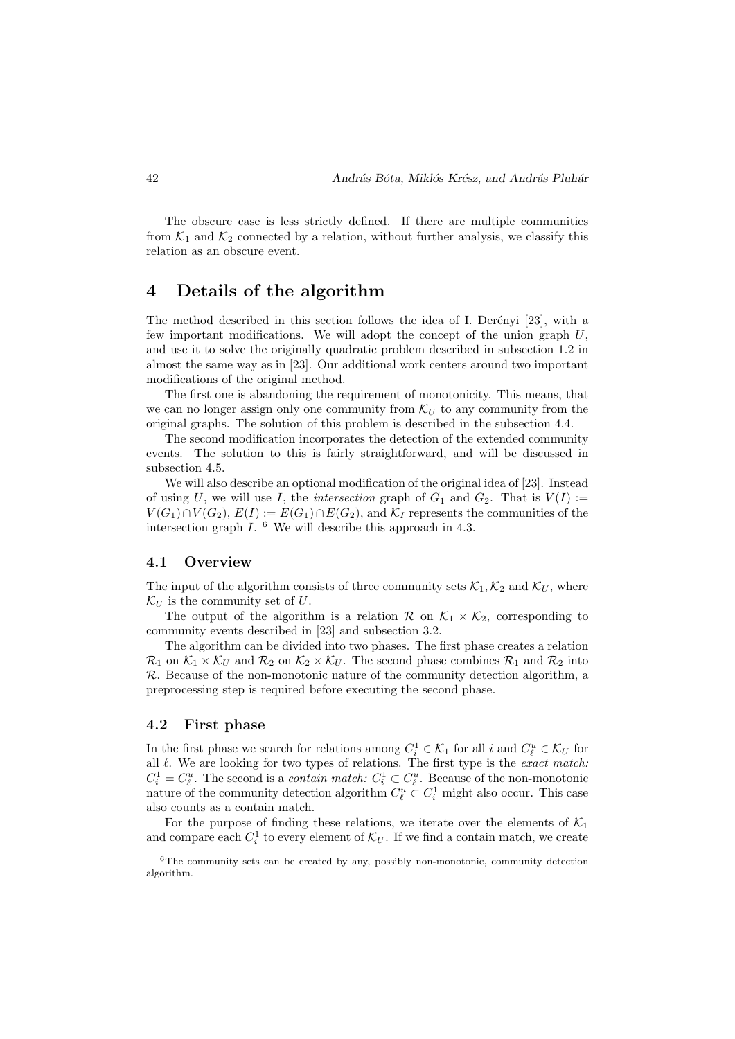The obscure case is less strictly defined. If there are multiple communities from  $\mathcal{K}_1$  and  $\mathcal{K}_2$  connected by a relation, without further analysis, we classify this relation as an obscure event.

# 4 Details of the algorithm

The method described in this section follows the idea of I. Derenyi [23], with a few important modifications. We will adopt the concept of the union graph  $U$ . and use it to solve the originally quadratic problem described in subsection 1.2 in almost the same way as in [23]. Our additional work centers around two important modifications of the original method.

The first one is abandoning the requirement of monotonicity. This means, that we can no longer assign only one community from  $\mathcal{K}_U$  to any community from the original graphs. The solution of this problem is described in the subsection 4.4.

The second modification incorporates the detection of the extended community events. The solution to this is fairly straightforward, and will be discussed in subsection 4.5.

We will also describe an optional modification of the original idea of [23]. Instead of using U, we will use I, the *intersection* graph of  $G_1$  and  $G_2$ . That is  $V(I) :=$  $V(G_1) \cap V(G_2)$ ,  $E(I) := E(G_1) \cap E(G_2)$ , and  $\mathcal{K}_I$  represents the communities of the intersection graph  $I.$  <sup>6</sup> We will describe this approach in 4.3.

#### 4.1 Overview

The input of the algorithm consists of three community sets  $\mathcal{K}_1, \mathcal{K}_2$  and  $\mathcal{K}_U$ , where  $\mathcal{K}_U$  is the community set of U.

The output of the algorithm is a relation R on  $\mathcal{K}_1 \times \mathcal{K}_2$ , corresponding to community events described in [23] and subsection 3.2.

The algorithm can be divided into two phases. The first phase creates a relation  $\mathcal{R}_1$  on  $\mathcal{K}_1 \times \mathcal{K}_U$  and  $\mathcal{R}_2$  on  $\mathcal{K}_2 \times \mathcal{K}_U$ . The second phase combines  $\mathcal{R}_1$  and  $\mathcal{R}_2$  into  $\mathcal{R}$ . Because of the non-monotonic nature of the community detection algorithm, a preprocessing step is required before executing the second phase.

#### 4.2 First phase

In the first phase we search for relations among  $C_i^1 \in \mathcal{K}_1$  for all  $i$  and  $C_{\ell}^u \in \mathcal{K}_U$  for all  $\ell$ . We are looking for two types of relations. The first type is the exact match:  $C_i^1 = C_{\ell}^u$ . The second is a *contain match:*  $C_i^1 \subset C_{\ell}^u$ . Because of the non-monotonic nature of the community detection algorithm  $C_{\ell}^u \subset C_i^1$  might also occur. This case also counts as a contain match.

For the purpose of finding these relations, we iterate over the elements of  $\mathcal{K}_1$ and compare each  $C_i^1$  to every element of  $\mathcal{K}_U$ . If we find a contain match, we create

<sup>6</sup>The community sets can be created by any, possibly non-monotonic, community detection algorithm.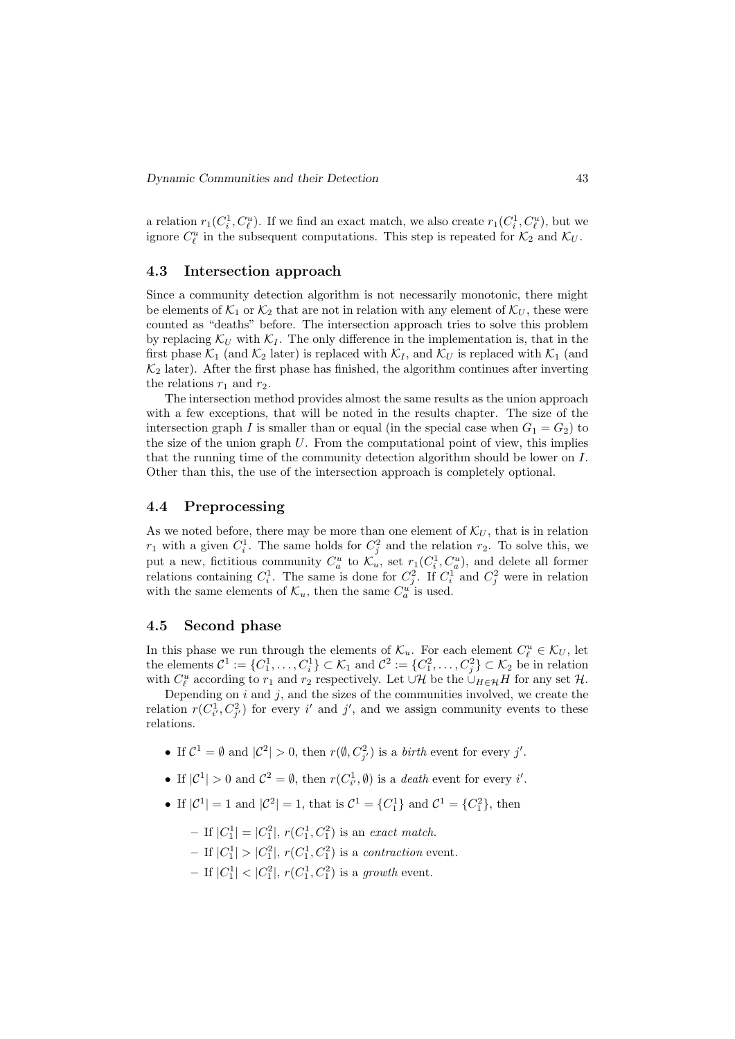a relation  $r_1(C_i^1, C_{\ell}^u)$ . If we find an exact match, we also create  $r_1(C_i^1, C_{\ell}^u)$ , but we ignore  $C_{\ell}^u$  in the subsequent computations. This step is repeated for  $\mathcal{K}_2$  and  $\mathcal{K}_U$ .

#### 4.3 Intersection approach

Since a community detection algorithm is not necessarily monotonic, there might be elements of  $\mathcal{K}_1$  or  $\mathcal{K}_2$  that are not in relation with any element of  $\mathcal{K}_U$ , these were counted as "deaths" before. The intersection approach tries to solve this problem by replacing  $\mathcal{K}_U$  with  $\mathcal{K}_I$ . The only difference in the implementation is, that in the first phase  $\mathcal{K}_1$  (and  $\mathcal{K}_2$  later) is replaced with  $\mathcal{K}_I$ , and  $\mathcal{K}_U$  is replaced with  $\mathcal{K}_1$  (and  $\mathcal{K}_2$  later). After the first phase has finished, the algorithm continues after inverting the relations  $r_1$  and  $r_2$ .

The intersection method provides almost the same results as the union approach with a few exceptions, that will be noted in the results chapter. The size of the intersection graph I is smaller than or equal (in the special case when  $G_1 = G_2$ ) to the size of the union graph  $U$ . From the computational point of view, this implies that the running time of the community detection algorithm should be lower on I. Other than this, the use of the intersection approach is completely optional.

#### 4.4 Preprocessing

As we noted before, there may be more than one element of  $\mathcal{K}_U$ , that is in relation  $r_1$  with a given  $C_i^1$ . The same holds for  $C_j^2$  and the relation  $r_2$ . To solve this, we put a new, fictitious community  $C_a^u$  to  $\mathcal{K}_u$ , set  $r_1(C_i^1, C_a^u)$ , and delete all former relations containing  $C_i^1$ . The same is done for  $C_j^2$ . If  $C_i^1$  and  $C_j^2$  were in relation with the same elements of  $\mathcal{K}_u$ , then the same  $C_a^{u'}$  is used.

#### 4.5 Second phase

In this phase we run through the elements of  $\mathcal{K}_u$ . For each element  $C_{\ell}^u \in \mathcal{K}_U$ , let the elements  $\mathcal{C}^1 := \{C_1^1, \ldots, C_i^1\} \subset \mathcal{K}_1$  and  $\mathcal{C}^2 := \{C_1^2, \ldots, C_j^2\} \subset \mathcal{K}_2$  be in relation with  $C_{\ell}^u$  according to  $r_1$  and  $r_2$  respectively. Let  $\cup \mathcal{H}$  be the  $\cup_{H \in \mathcal{H}} H$  for any set  $\mathcal{H}$ .

Depending on  $i$  and  $j$ , and the sizes of the communities involved, we create the relation  $r(C_{i'}^1, C_{j'}^2)$  for every i' and j', and we assign community events to these relations.

- If  $\mathcal{C}^1 = \emptyset$  and  $|\mathcal{C}^2| > 0$ , then  $r(\emptyset, C_{j'}^2)$  is a *birth* event for every j'.
- If  $|\mathcal{C}^1| > 0$  and  $\mathcal{C}^2 = \emptyset$ , then  $r(C_{i'}^1, \emptyset)$  is a *death* event for every *i'*.
- If  $|C^1| = 1$  and  $|C^2| = 1$ , that is  $C^1 = \{C_1^1\}$  and  $C^1 = \{C_1^2\}$ , then
	- If  $|C_1^1| = |C_1^2|$ ,  $r(C_1^1, C_1^2)$  is an exact match.
	- $-$  If  $|C_1^1| > |C_1^2|$ ,  $r(C_1^1, C_1^2)$  is a *contraction* event.
	- If  $|C_1^1|$  <  $|C_1^2|$ ,  $r(C_1^1, C_1^2)$  is a growth event.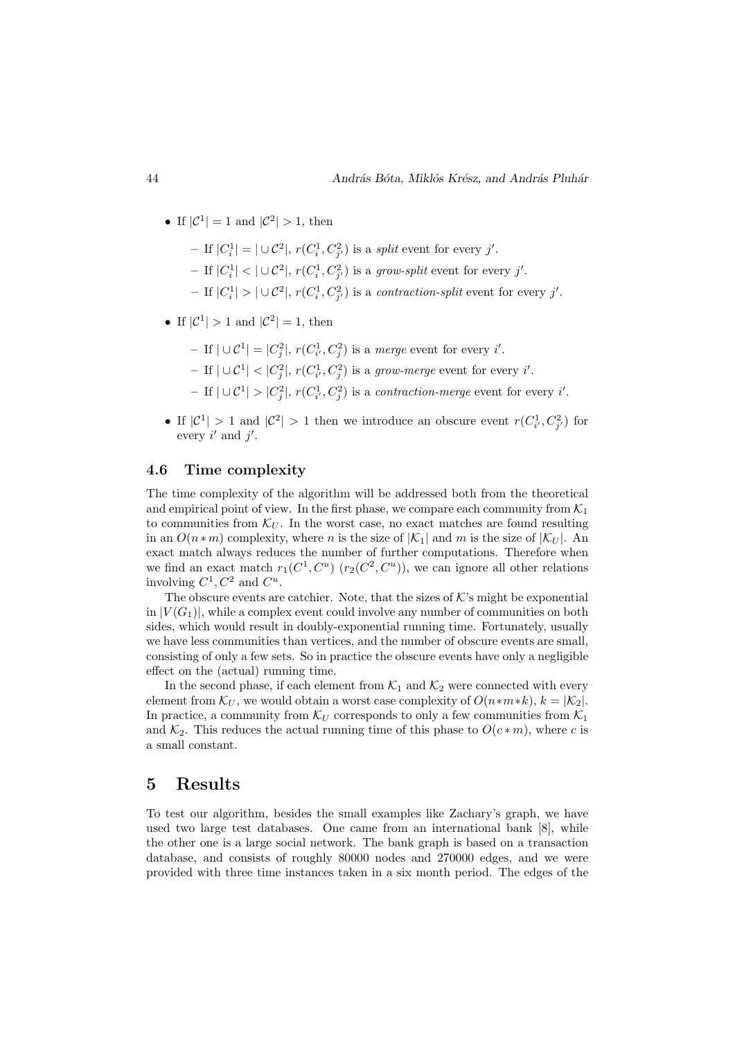- If  $|\mathcal{C}^1|=1$  and  $|\mathcal{C}^2|>1$ , then
	- If  $|C_i^1| = |\cup C^2|$ ,  $r(C_i^1, C_{j'}^2)$  is a *split* event for every j'.
	- If  $|C_i^1|$  <  $|\cup \mathcal{C}^2|$ ,  $r(C_i^1, C_{j'}^2)$  is a grow-split event for every j'.
	- If  $|C_i^1| > |\cup C^2|$ ,  $r(C_i^1, C_{j'}^2)$  is a *contraction-split* event for every j'.
- If  $|\mathcal{C}^1| > 1$  and  $|\mathcal{C}^2| = 1$ , then
	- $-$  If  $\vert \cup \mathcal{C}^1 \vert = \vert C_j^2 \vert$ ,  $r(C_{i'}^1, C_j^2)$  is a *merge* event for every *i'*.
	- − If  $|\cup \mathcal{C}^1|$  <  $|C_j^2|$ ,  $r(C_{i'}^1, C_j^2)$  is a grow-merge event for every i'.
	- $-$  If  $| \cup \mathcal{C}^1| > |C_j^2|$ ,  $r(C_{i'}^1, C_j^2)$  is a *contraction-merge* event for every *i'*.
- If  $|C^1| > 1$  and  $|C^2| > 1$  then we introduce an obscure event  $r(C_{i'}^1, C_{j'}^2)$  for every  $i'$  and  $j'$ .

### 4.6 Time complexity

The time complexity of the algorithm will be addressed both from the theoretical and empirical point of view. In the first phase, we compare each community from  $\mathcal{K}_1$ to communities from  $\mathcal{K}_U$ . In the worst case, no exact matches are found resulting in an  $O(n*m)$  complexity, where n is the size of  $|\mathcal{K}_1|$  and m is the size of  $|\mathcal{K}_U|$ . An exact match always reduces the number of further computations. Therefore when we find an exact match  $r_1(C^1, C^u)$   $(r_2(C^2, C^u))$ , we can ignore all other relations involving  $C^1, C^2$  and  $C^u$ .

The obscure events are catchier. Note, that the sizes of  $K$ 's might be exponential in  $|V(G_1)|$ , while a complex event could involve any number of communities on both sides, which would result in doubly-exponential running time. Fortunately, usually we have less communities than vertices, and the number of obscure events are small, consisting of only a few sets. So in practice the obscure events have only a negligible effect on the (actual) running time.

In the second phase, if each element from  $\mathcal{K}_1$  and  $\mathcal{K}_2$  were connected with every element from  $\mathcal{K}_U$ , we would obtain a worst case complexity of  $O(n*m*k)$ ,  $k = |\mathcal{K}_2|$ . In practice, a community from  $\mathcal{K}_U$  corresponds to only a few communities from  $\mathcal{K}_1$ and  $\mathcal{K}_2$ . This reduces the actual running time of this phase to  $O(c*m)$ , where c is a small constant.

### 5 Results

To test our algorithm, besides the small examples like Zachary's graph, we have used two large test databases. One came from an international bank [8], while the other one is a large social network. The bank graph is based on a transaction database, and consists of roughly 80000 nodes and 270000 edges, and we were provided with three time instances taken in a six month period. The edges of the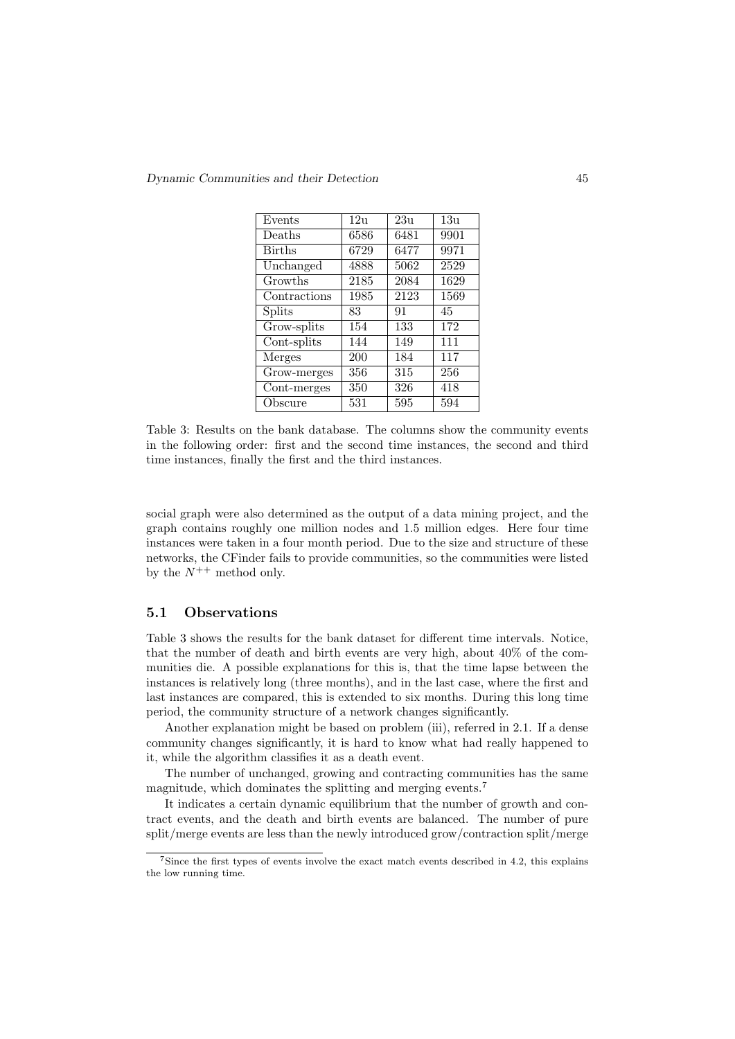Dynamic Communities and their Detection 45

| Events        | 12u  | 23u  | 13u  |
|---------------|------|------|------|
| Deaths        | 6586 | 6481 | 9901 |
| <b>Births</b> | 6729 | 6477 | 9971 |
| Unchanged     | 4888 | 5062 | 2529 |
| Growths       | 2185 | 2084 | 1629 |
| Contractions  | 1985 | 2123 | 1569 |
| <b>Splits</b> | 83   | 91   | 45   |
| Grow-splits   | 154  | 133  | 172  |
| Cont-splits   | 144  | 149  | 111  |
| Merges        | 200  | 184  | 117  |
| Grow-merges   | 356  | 315  | 256  |
| Cont-merges   | 350  | 326  | 418  |
| Obscure       | 531  | 595  | 594  |
|               |      |      |      |

Table 3: Results on the bank database. The columns show the community events in the following order: first and the second time instances, the second and third time instances, finally the first and the third instances.

social graph were also determined as the output of a data mining project, and the graph contains roughly one million nodes and 1.5 million edges. Here four time instances were taken in a four month period. Due to the size and structure of these networks, the CFinder fails to provide communities, so the communities were listed by the  $N^{++}$  method only.

#### 5.1 Observations

Table 3 shows the results for the bank dataset for different time intervals. Notice, that the number of death and birth events are very high, about 40% of the communities die. A possible explanations for this is, that the time lapse between the instances is relatively long (three months), and in the last case, where the first and last instances are compared, this is extended to six months. During this long time period, the community structure of a network changes significantly.

Another explanation might be based on problem (iii), referred in 2.1. If a dense community changes significantly, it is hard to know what had really happened to it, while the algorithm classifies it as a death event.

The number of unchanged, growing and contracting communities has the same magnitude, which dominates the splitting and merging events.<sup>7</sup>

It indicates a certain dynamic equilibrium that the number of growth and contract events, and the death and birth events are balanced. The number of pure split/merge events are less than the newly introduced grow/contraction split/merge

<sup>7</sup>Since the first types of events involve the exact match events described in 4.2, this explains the low running time.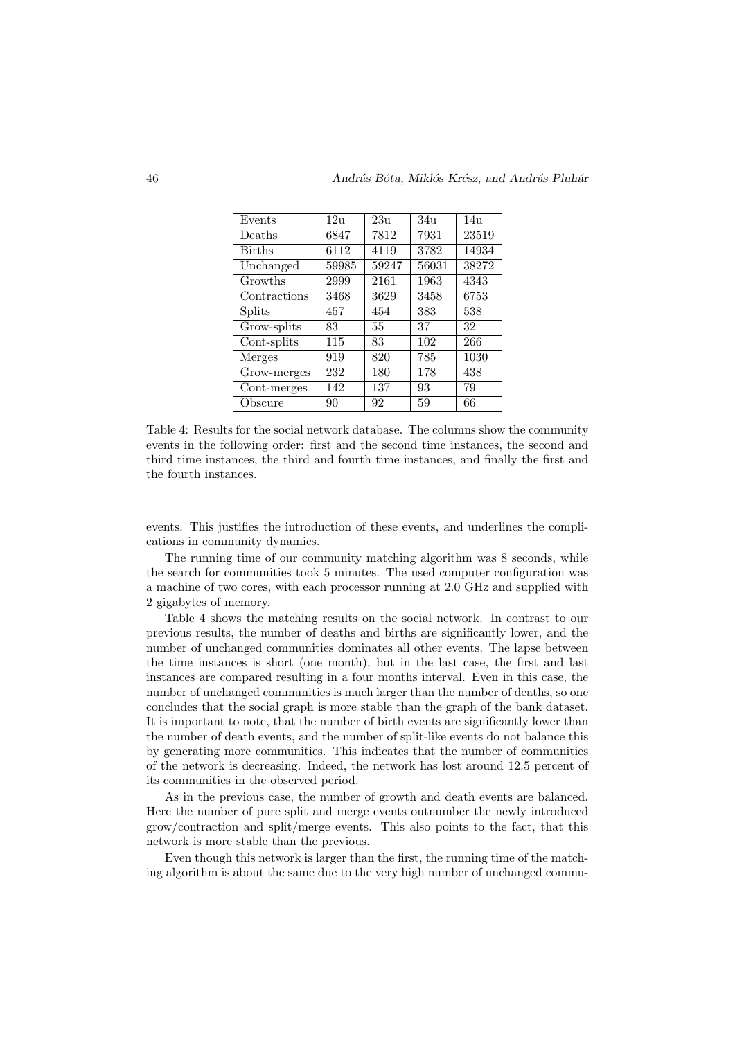| Events        | 12u   | 23u   | 34 <sub>u</sub> | 14u   |
|---------------|-------|-------|-----------------|-------|
| Deaths        | 6847  | 7812  | 7931            | 23519 |
| <b>Births</b> | 6112  | 4119  | 3782            | 14934 |
| Unchanged     | 59985 | 59247 | 56031           | 38272 |
| Growths       | 2999  | 2161  | 1963            | 4343  |
| Contractions  | 3468  | 3629  | 3458            | 6753  |
| Splits        | 457   | 454   | 383             | 538   |
| Grow-splits   | 83    | 55    | 37              | 32    |
| Cont-splits   | 115   | 83    | 102             | 266   |
| Merges        | 919   | 820   | 785             | 1030  |
| Grow-merges   | 232   | 180   | 178             | 438   |
| Cont-merges   | 142   | 137   | 93              | 79    |
| Obscure       | 90    | 92    | 59              | 66    |

Table 4: Results for the social network database. The columns show the community events in the following order: first and the second time instances, the second and third time instances, the third and fourth time instances, and finally the first and the fourth instances.

events. This justifies the introduction of these events, and underlines the complications in community dynamics.

The running time of our community matching algorithm was 8 seconds, while the search for communities took 5 minutes. The used computer configuration was a machine of two cores, with each processor running at 2.0 GHz and supplied with 2 gigabytes of memory.

Table 4 shows the matching results on the social network. In contrast to our previous results, the number of deaths and births are significantly lower, and the number of unchanged communities dominates all other events. The lapse between the time instances is short (one month), but in the last case, the first and last instances are compared resulting in a four months interval. Even in this case, the number of unchanged communities is much larger than the number of deaths, so one concludes that the social graph is more stable than the graph of the bank dataset. It is important to note, that the number of birth events are significantly lower than the number of death events, and the number of split-like events do not balance this by generating more communities. This indicates that the number of communities of the network is decreasing. Indeed, the network has lost around 12.5 percent of its communities in the observed period.

As in the previous case, the number of growth and death events are balanced. Here the number of pure split and merge events outnumber the newly introduced grow/contraction and split/merge events. This also points to the fact, that this network is more stable than the previous.

Even though this network is larger than the first, the running time of the matching algorithm is about the same due to the very high number of unchanged commu-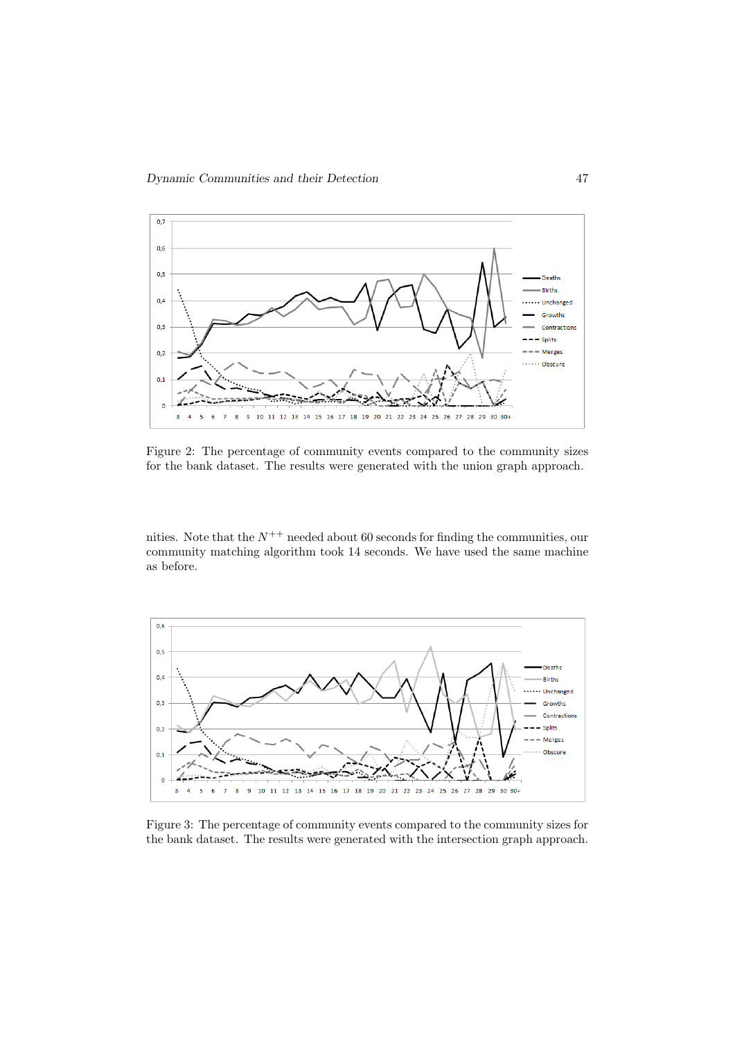

Figure 2: The percentage of community events compared to the community sizes for the bank dataset. The results were generated with the union graph approach.

nities. Note that the  $N^{++}$  needed about 60 seconds for finding the communities, our community matching algorithm took 14 seconds. We have used the same machine as before.



Figure 3: The percentage of community events compared to the community sizes for the bank dataset. The results were generated with the intersection graph approach.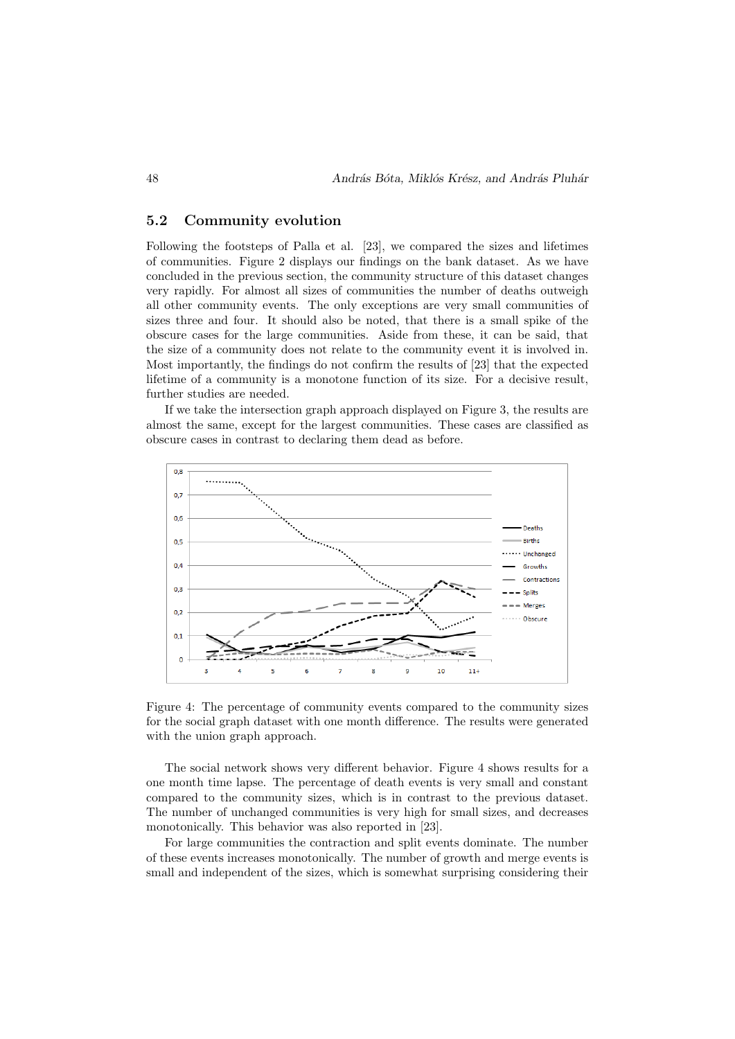#### 5.2 Community evolution

Following the footsteps of Palla et al. [23], we compared the sizes and lifetimes of communities. Figure 2 displays our findings on the bank dataset. As we have concluded in the previous section, the community structure of this dataset changes very rapidly. For almost all sizes of communities the number of deaths outweigh all other community events. The only exceptions are very small communities of sizes three and four. It should also be noted, that there is a small spike of the obscure cases for the large communities. Aside from these, it can be said, that the size of a community does not relate to the community event it is involved in. Most importantly, the findings do not confirm the results of [23] that the expected lifetime of a community is a monotone function of its size. For a decisive result, further studies are needed.

If we take the intersection graph approach displayed on Figure 3, the results are almost the same, except for the largest communities. These cases are classified as obscure cases in contrast to declaring them dead as before.



Figure 4: The percentage of community events compared to the community sizes for the social graph dataset with one month difference. The results were generated with the union graph approach.

The social network shows very different behavior. Figure 4 shows results for a one month time lapse. The percentage of death events is very small and constant compared to the community sizes, which is in contrast to the previous dataset. The number of unchanged communities is very high for small sizes, and decreases monotonically. This behavior was also reported in [23].

For large communities the contraction and split events dominate. The number of these events increases monotonically. The number of growth and merge events is small and independent of the sizes, which is somewhat surprising considering their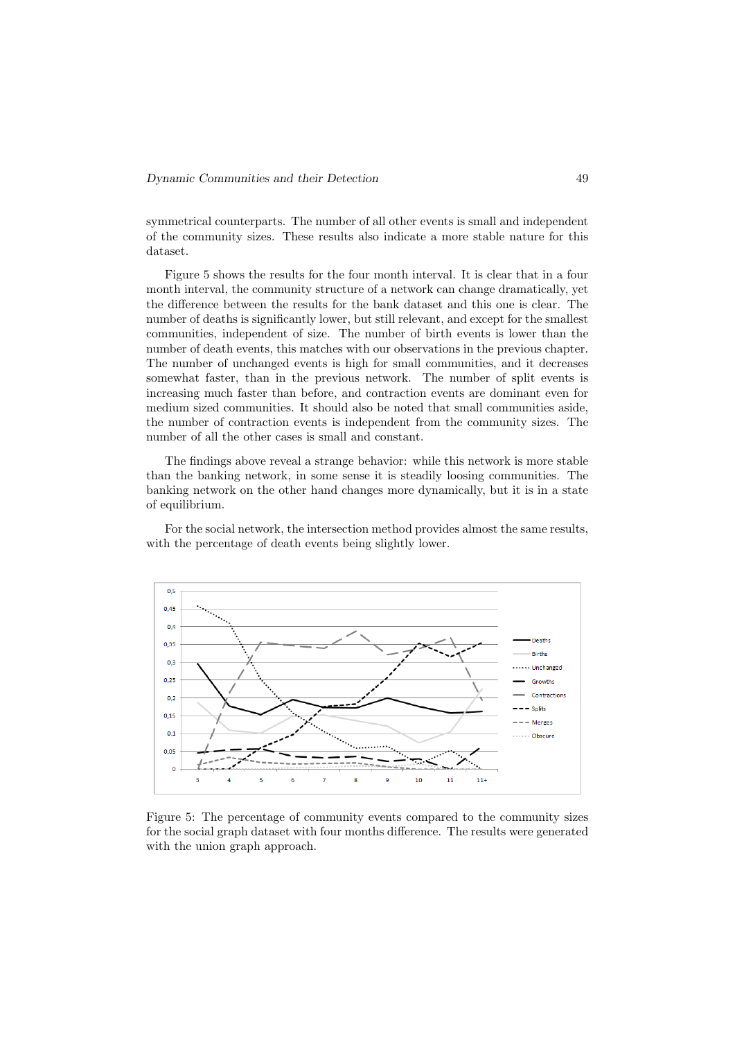symmetrical counterparts. The number of all other events is small and independent of the community sizes. These results also indicate a more stable nature for this dataset.

Figure 5 shows the results for the four month interval. It is clear that in a four month interval, the community structure of a network can change dramatically, yet the difference between the results for the bank dataset and this one is clear. The number of deaths is significantly lower, but still relevant, and except for the smallest communities, independent of size. The number of birth events is lower than the number of death events, this matches with our observations in the previous chapter. The number of unchanged events is high for small communities, and it decreases somewhat faster, than in the previous network. The number of split events is increasing much faster than before, and contraction events are dominant even for medium sized communities. It should also be noted that small communities aside, the number of contraction events is independent from the community sizes. The number of all the other cases is small and constant.

The findings above reveal a strange behavior: while this network is more stable than the banking network, in some sense it is steadily loosing communities. The banking network on the other hand changes more dynamically, but it is in a state of equilibrium.

For the social network, the intersection method provides almost the same results, with the percentage of death events being slightly lower.



Figure 5: The percentage of community events compared to the community sizes for the social graph dataset with four months difference. The results were generated with the union graph approach.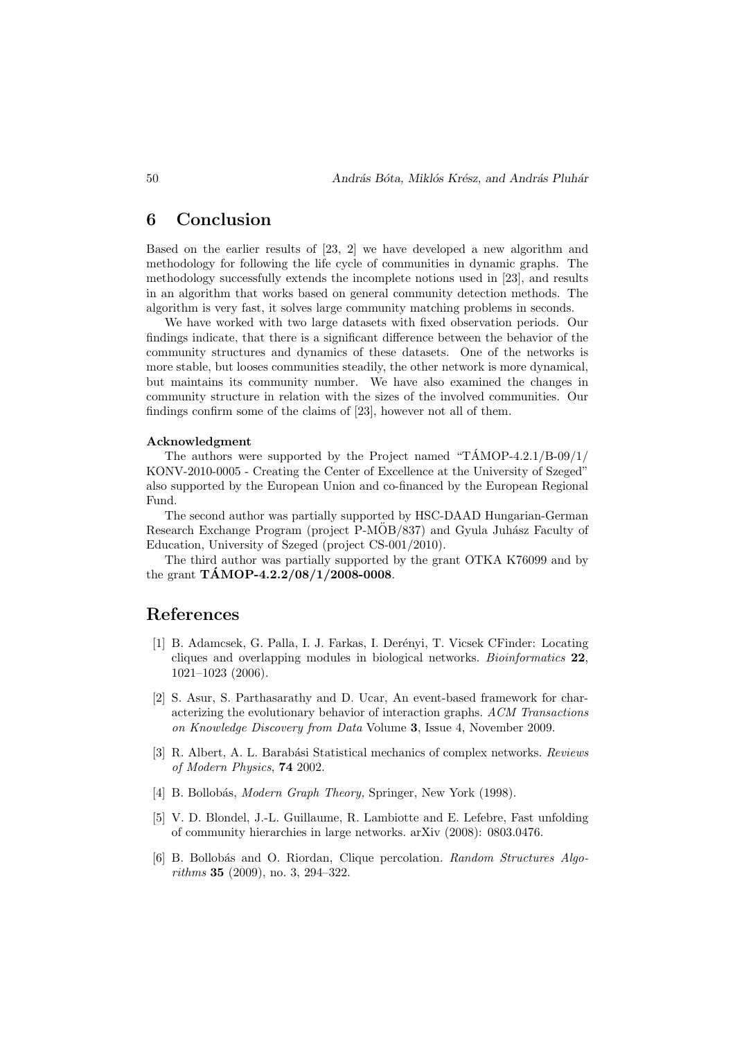### 6 Conclusion

Based on the earlier results of [23, 2] we have developed a new algorithm and methodology for following the life cycle of communities in dynamic graphs. The methodology successfully extends the incomplete notions used in [23], and results in an algorithm that works based on general community detection methods. The algorithm is very fast, it solves large community matching problems in seconds.

We have worked with two large datasets with fixed observation periods. Our findings indicate, that there is a significant difference between the behavior of the community structures and dynamics of these datasets. One of the networks is more stable, but looses communities steadily, the other network is more dynamical, but maintains its community number. We have also examined the changes in community structure in relation with the sizes of the involved communities. Our findings confirm some of the claims of [23], however not all of them.

#### Acknowledgment

The authors were supported by the Project named "T $\text{AMOP-4.2.1/B-09/1/}$ KONV-2010-0005 - Creating the Center of Excellence at the University of Szeged" also supported by the European Union and co-financed by the European Regional Fund.

The second author was partially supported by HSC-DAAD Hungarian-German Research Exchange Program (project P-MOB/837) and Gyula Juhász Faculty of Education, University of Szeged (project CS-001/2010).

The third author was partially supported by the grant OTKA K76099 and by the grant  $TAMOP-4.2.2/08/1/2008-0008$ .

# References

- [1] B. Adamcsek, G. Palla, I. J. Farkas, I. Der´enyi, T. Vicsek CFinder: Locating cliques and overlapping modules in biological networks. Bioinformatics 22, 1021–1023 (2006).
- [2] S. Asur, S. Parthasarathy and D. Ucar, An event-based framework for characterizing the evolutionary behavior of interaction graphs. ACM Transactions on Knowledge Discovery from Data Volume 3, Issue 4, November 2009.
- [3] R. Albert, A. L. Barabási Statistical mechanics of complex networks. Reviews of Modern Physics, 74 2002.
- [4] B. Bollobás, *Modern Graph Theory*, Springer, New York (1998).
- [5] V. D. Blondel, J.-L. Guillaume, R. Lambiotte and E. Lefebre, Fast unfolding of community hierarchies in large networks. arXiv (2008): 0803.0476.
- [6] B. Bollobás and O. Riordan, Clique percolation. Random Structures Algorithms 35 (2009), no. 3, 294–322.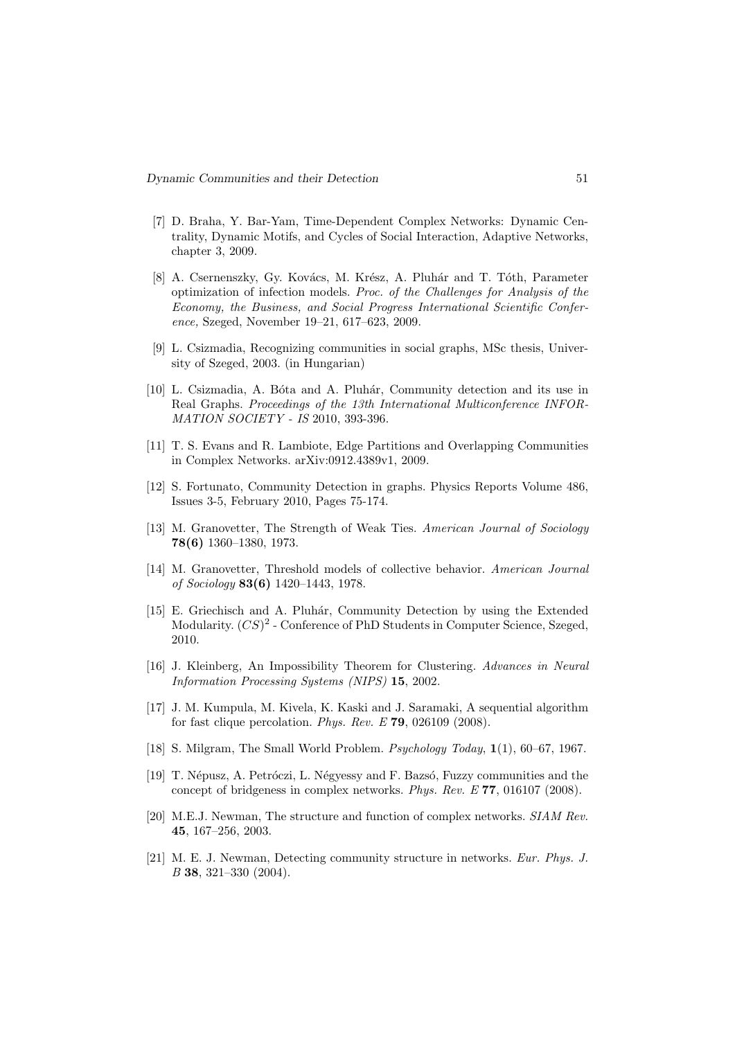- [7] D. Braha, Y. Bar-Yam, Time-Dependent Complex Networks: Dynamic Centrality, Dynamic Motifs, and Cycles of Social Interaction, Adaptive Networks, chapter 3, 2009.
- [8] A. Csernenszky, Gy. Kovács, M. Krész, A. Pluhár and T. Tóth, Parameter optimization of infection models. Proc. of the Challenges for Analysis of the Economy, the Business, and Social Progress International Scientific Conference, Szeged, November 19–21, 617–623, 2009.
- [9] L. Csizmadia, Recognizing communities in social graphs, MSc thesis, University of Szeged, 2003. (in Hungarian)
- [10] L. Csizmadia, A. Bóta and A. Pluhár, Community detection and its use in Real Graphs. Proceedings of the 13th International Multiconference INFOR-MATION SOCIETY - IS 2010, 393-396.
- [11] T. S. Evans and R. Lambiote, Edge Partitions and Overlapping Communities in Complex Networks. arXiv:0912.4389v1, 2009.
- [12] S. Fortunato, Community Detection in graphs. Physics Reports Volume 486, Issues 3-5, February 2010, Pages 75-174.
- [13] M. Granovetter, The Strength of Weak Ties. American Journal of Sociology 78(6) 1360–1380, 1973.
- [14] M. Granovetter, Threshold models of collective behavior. American Journal of Sociology 83(6) 1420–1443, 1978.
- [15] E. Griechisch and A. Pluhár, Community Detection by using the Extended Modularity.  $(CS)^2$  - Conference of PhD Students in Computer Science, Szeged, 2010.
- [16] J. Kleinberg, An Impossibility Theorem for Clustering. Advances in Neural Information Processing Systems (NIPS) 15, 2002.
- [17] J. M. Kumpula, M. Kivela, K. Kaski and J. Saramaki, A sequential algorithm for fast clique percolation. Phys. Rev. E 79, 026109 (2008).
- [18] S. Milgram, The Small World Problem. Psychology Today, 1(1), 60–67, 1967.
- [19] T. Népusz, A. Petróczi, L. Négyessy and F. Bazsó, Fuzzy communities and the concept of bridgeness in complex networks. Phys. Rev. E 77, 016107 (2008).
- [20] M.E.J. Newman, The structure and function of complex networks. SIAM Rev. 45, 167–256, 2003.
- [21] M. E. J. Newman, Detecting community structure in networks. Eur. Phys. J. B 38, 321–330 (2004).